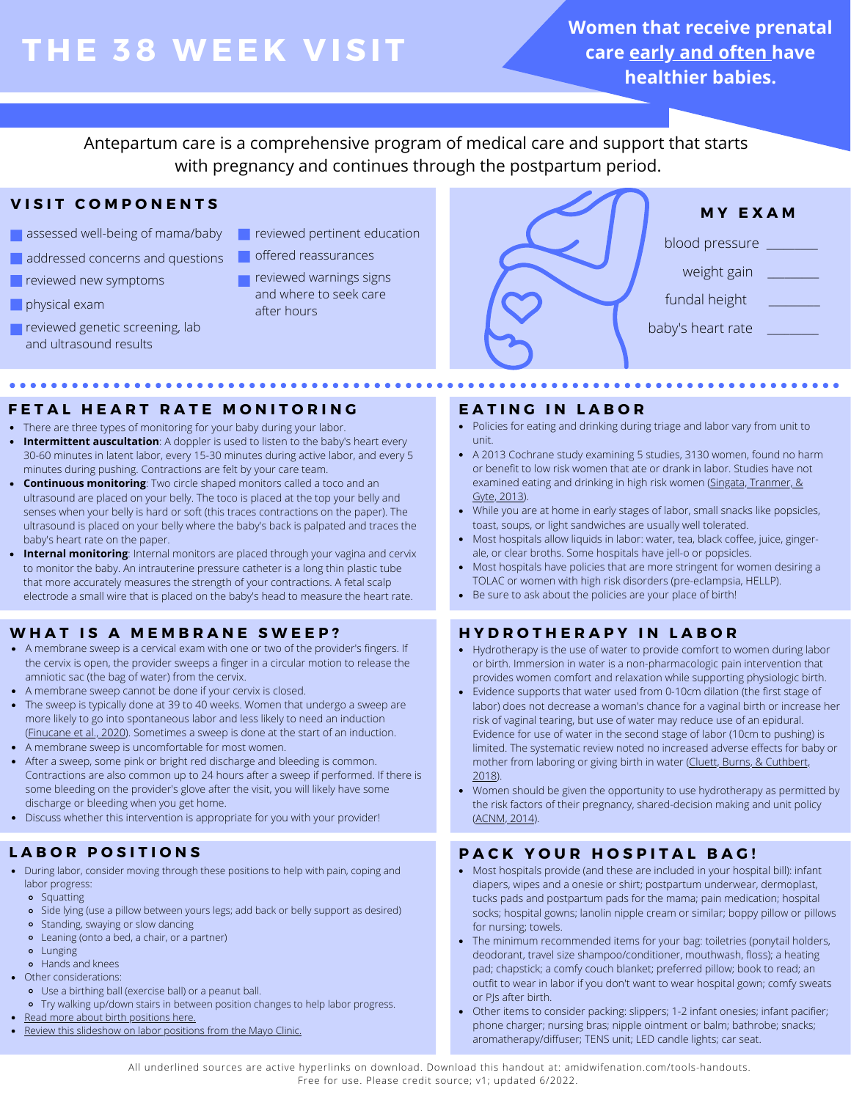# **THE 38 WEE K V ISIT**

**Women that receive prenatal care early and often have healthier babies.**

Antepartum care is a comprehensive program of medical care and support that starts with pregnancy and continues through the postpartum period.

# **V I S I T C O M P O N E N T S**

- assessed well-being of mama/baby
- addressed concerns and questions
- **P** reviewed new symptoms
- physical exam
- **reviewed genetic screening, lab** and ultrasound results
- **F** reviewed pertinent education
- offered reassurances
	- reviewed warnings signs and where to seek care after hours



# **F E T A L H E A R T R A T E M O N I T O R I N G**

- There are three types of monitoring for your baby during your labor.
- **Intermittent auscultation**: A doppler is used to listen to the baby's heart every 30-60 minutes in latent labor, every 15-30 minutes during active labor, and every 5 minutes during pushing. Contractions are felt by your care team.
- **Continuous monitoring**: Two circle shaped monitors called a toco and an ultrasound are placed on your belly. The toco is placed at the top your belly and senses when your belly is hard or soft (this traces contractions on the paper). The ultrasound is placed on your belly where the baby's back is palpated and traces the baby's heart rate on the paper.
- **Internal monitoring**: Internal monitors are placed through your vagina and cervix to monitor the baby. An intrauterine pressure catheter is a long thin plastic tube that more accurately measures the strength of your contractions. A fetal scalp electrode a small wire that is placed on the baby's head to measure the heart rate.

# **W H A T I S A M E M B R A N E S W E E P ?**

- A membrane sweep is a cervical exam with one or two of the provider's fingers. If the cervix is open, the provider sweeps a finger in a circular motion to release the amniotic sac (the bag of water) from the cervix.
- A membrane sweep cannot be done if your cervix is closed.
- The sweep is typically done at 39 to 40 weeks. Women that undergo a sweep are more likely to go into spontaneous labor and less likely to need an induction ([Finucane et al., 2020](https://www.cochranelibrary.com/cdsr/doi/10.1002/14651858.CD000451.pub3/full#CD000451-tbl-0001)). Sometimes a sweep is done at the start of an induction.
- A membrane sweep is uncomfortable for most women.
- After a sweep, some pink or bright red discharge and bleeding is common. Contractions are also common up to 24 hours after a sweep if performed. If there is some bleeding on the provider's glove after the visit, you will likely have some discharge or bleeding when you get home.
- Discuss whether this intervention is appropriate for you with your provider!

# **L A B O R P O S I T I O N S**

- During labor, consider moving through these positions to help with pain, coping and labor progress:
	- **•** Squatting
	- Side lying (use a pillow between yours legs; add back or belly support as desired)
	- Standing, swaying or slow dancing
	- Leaning (onto a bed, a chair, or a partner)
	- **•** Lunging
	- Hands and knees
- Other considerations:
	- Use a birthing ball (exercise ball) or a peanut ball. o Try walking up/down stairs in between position changes to help labor progress.
- 
- [Read more about birth positions here.](https://evidencebasedbirth.com/evidence-birthing-positions/)
- [Review this slideshow on labor positions from the Mayo Clinic.](https://www.mayoclinic.org/healthy-lifestyle/labor-and-delivery/multimedia/labor/sls-20077009?s=1)

### **E A T I N G I N L A B O R**

- Policies for eating and drinking during triage and labor vary from unit to unit.
- A 2013 Cochrane study examining 5 studies, 3130 women, found no harm or benefit to low risk women that ate or drank in labor. Studies have not examined eating and drinking in high risk women ([Singata, Tranmer, &](https://www.cochranelibrary.com/cdsr/doi/10.1002/14651858.CD003930.pub3/full) [Gyte, 2013\)](https://www.cochranelibrary.com/cdsr/doi/10.1002/14651858.CD003930.pub3/full).
- While you are at home in early stages of labor, small snacks like popsicles, toast, soups, or light sandwiches are usually well tolerated.
- Most hospitals allow liquids in labor: water, tea, black coffee, juice, gingerale, or clear broths. Some hospitals have jell-o or popsicles.
- Most hospitals have policies that are more stringent for women desiring a TOLAC or women with high risk disorders (pre-eclampsia, HELLP).
- Be sure to ask about the policies are your place of birth!

# **H Y D R O T H E R A P Y I N L A B O R**

- Hydrotherapy is the use of water to provide comfort to women during labor or birth. Immersion in water is a non-pharmacologic pain intervention that provides women comfort and relaxation while supporting physiologic birth.
- Evidence supports that water used from 0-10cm dilation (the first stage of labor) does not decrease a woman's chance for a vaginal birth or increase her risk of vaginal tearing, but use of water may reduce use of an epidural. Evidence for use of water in the second stage of labor (10cm to pushing) is limited. The systematic review noted no increased adverse effects for baby or mother from laboring or giving birth in water ([Cluett, Burns, & Cuthbert,](https://www.cochranelibrary.com/cdsr/doi/10.1002/14651858.CD000111.pub4/full) [2018\)](https://www.cochranelibrary.com/cdsr/doi/10.1002/14651858.CD000111.pub4/full).
- Women should be given the opportunity to use hydrotherapy as permitted by the risk factors of their pregnancy, shared-decision making and unit policy ([ACNM, 2014](http://www.midwife.org/acnm/files/cclibraryfiles/filename/000000004048/hydrotherapy-during-labor-and-birth-april-2014.pdf)).

## **PACK YOUR HOSPITAL BAG!**

- Most hospitals provide (and these are included in your hospital bill): infant diapers, wipes and a onesie or shirt; postpartum underwear, dermoplast, tucks pads and postpartum pads for the mama; pain medication; hospital socks; hospital gowns; lanolin nipple cream or similar; boppy pillow or pillows for nursing; towels.
- The minimum recommended items for your bag: toiletries (ponytail holders, deodorant, travel size shampoo/conditioner, mouthwash, floss); a heating pad; chapstick; a comfy couch blanket; preferred pillow; book to read; an outfit to wear in labor if you don't want to wear hospital gown; comfy sweats or PJs after birth.
- Other items to consider packing: slippers; 1-2 infant onesies; infant pacifier; phone charger; nursing bras; nipple ointment or balm; bathrobe; snacks; aromatherapy/diffuser; TENS unit; LED candle lights; car seat.

All underlined sources are active hyperlinks on download. Download this handout at: amidwifenation.com/tools-handouts. Free for use. Please credit source; v1; updated 6/2022.